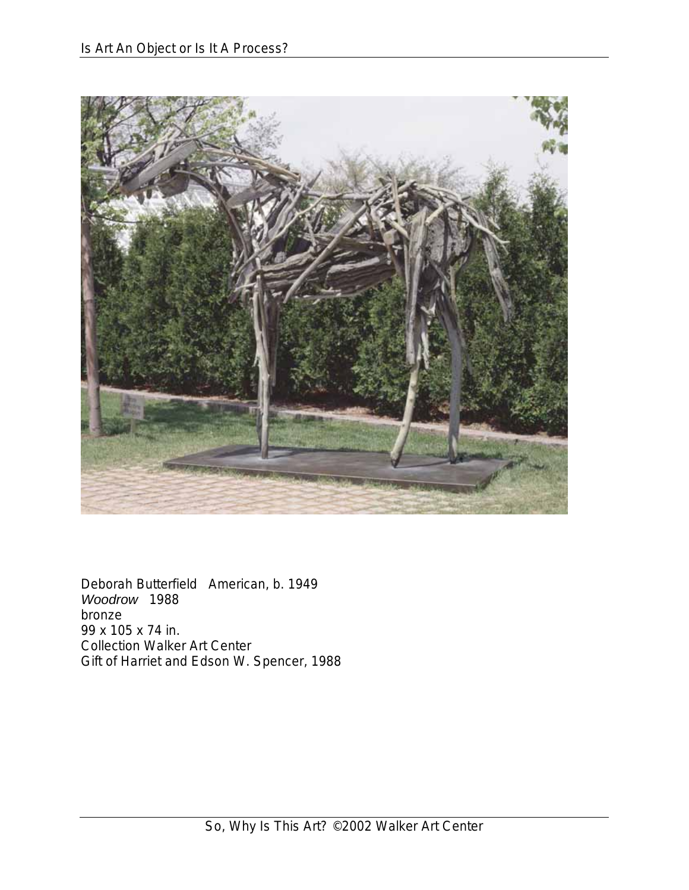

Deborah Butterfield American, b. 1949 *Woodrow* 1988 bronze 99 x 105 x 74 in. Collection Walker Art Center Gift of Harriet and Edson W. Spencer, 1988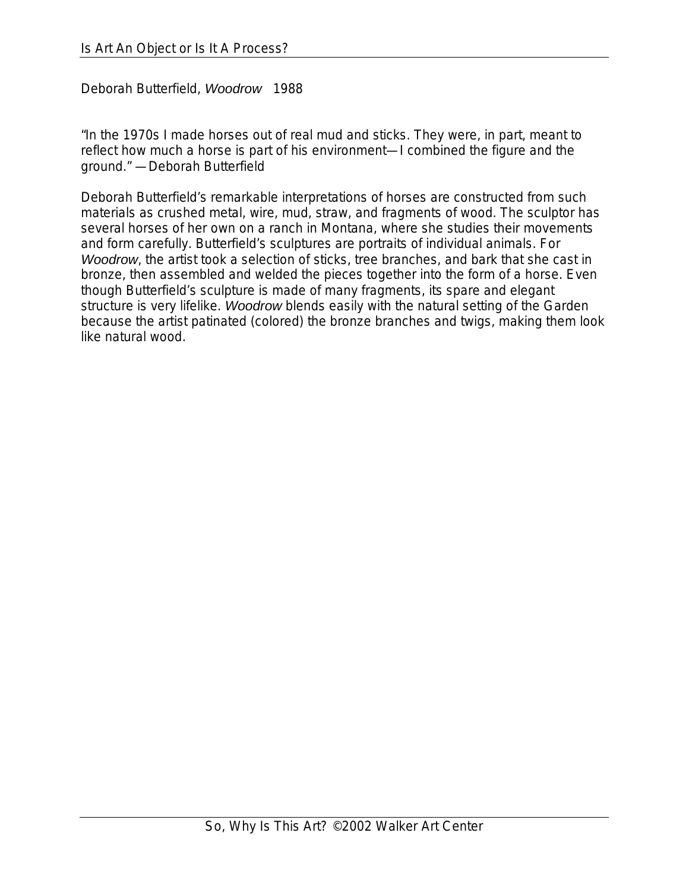Deborah Butterfield, *Woodrow* 1988

"In the 1970s I made horses out of real mud and sticks. They were, in part, meant to reflect how much a horse is part of his environment—I combined the figure and the ground." —Deborah Butterfield

Deborah Butterfield's remarkable interpretations of horses are constructed from such materials as crushed metal, wire, mud, straw, and fragments of wood. The sculptor has several horses of her own on a ranch in Montana, where she studies their movements and form carefully. Butterfield's sculptures are portraits of individual animals. For *Woodrow*, the artist took a selection of sticks, tree branches, and bark that she cast in bronze, then assembled and welded the pieces together into the form of a horse. Even though Butterfield's sculpture is made of many fragments, its spare and elegant structure is very lifelike. *Woodrow* blends easily with the natural setting of the Garden because the artist patinated (colored) the bronze branches and twigs, making them look like natural wood.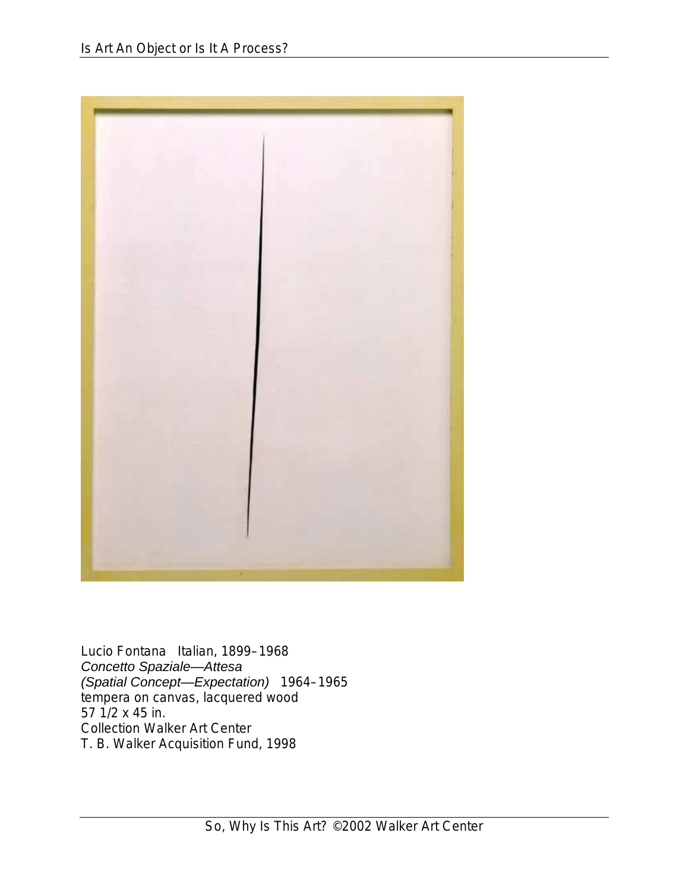

Lucio Fontana Italian, 1899–1968 *Concetto Spaziale—Attesa (Spatial Concept—Expectation)* 1964–1965 tempera on canvas, lacquered wood 57 1/2 x 45 in. Collection Walker Art Center T. B. Walker Acquisition Fund, 1998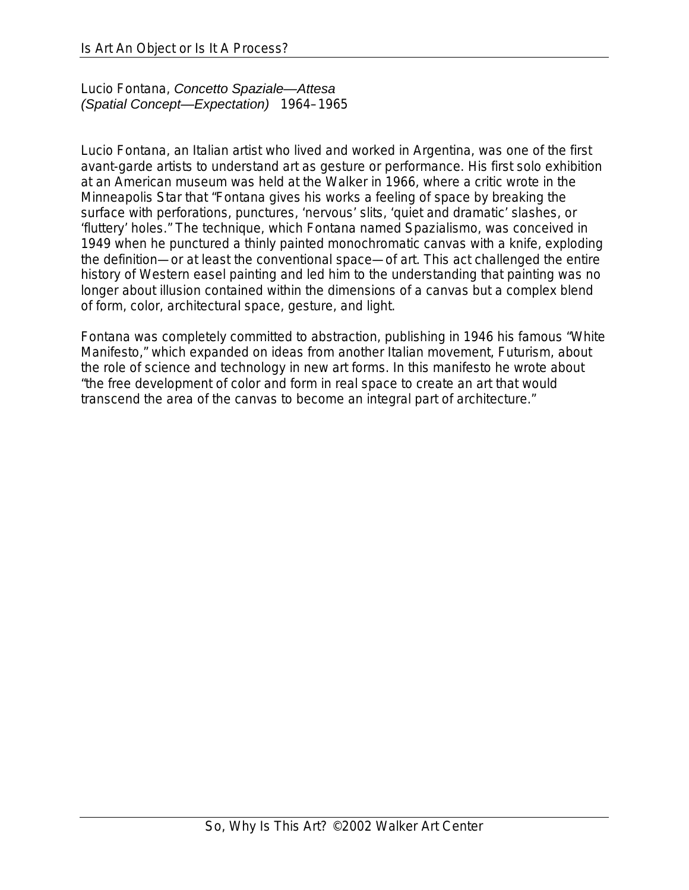Lucio Fontana, *Concetto Spaziale—Attesa (Spatial Concept—Expectation)* 1964–1965

Lucio Fontana, an Italian artist who lived and worked in Argentina, was one of the first avant-garde artists to understand art as gesture or performance. His first solo exhibition at an American museum was held at the Walker in 1966, where a critic wrote in the Minneapolis Star that "Fontana gives his works a feeling of space by breaking the surface with perforations, punctures, 'nervous' slits, 'quiet and dramatic' slashes, or 'fluttery' holes." The technique, which Fontana named Spazialismo, was conceived in 1949 when he punctured a thinly painted monochromatic canvas with a knife, exploding the definition—or at least the conventional space—of art. This act challenged the entire history of Western easel painting and led him to the understanding that painting was no longer about illusion contained within the dimensions of a canvas but a complex blend of form, color, architectural space, gesture, and light.

Fontana was completely committed to abstraction, publishing in 1946 his famous "White Manifesto," which expanded on ideas from another Italian movement, Futurism, about the role of science and technology in new art forms. In this manifesto he wrote about "the free development of color and form in real space to create an art that would transcend the area of the canvas to become an integral part of architecture."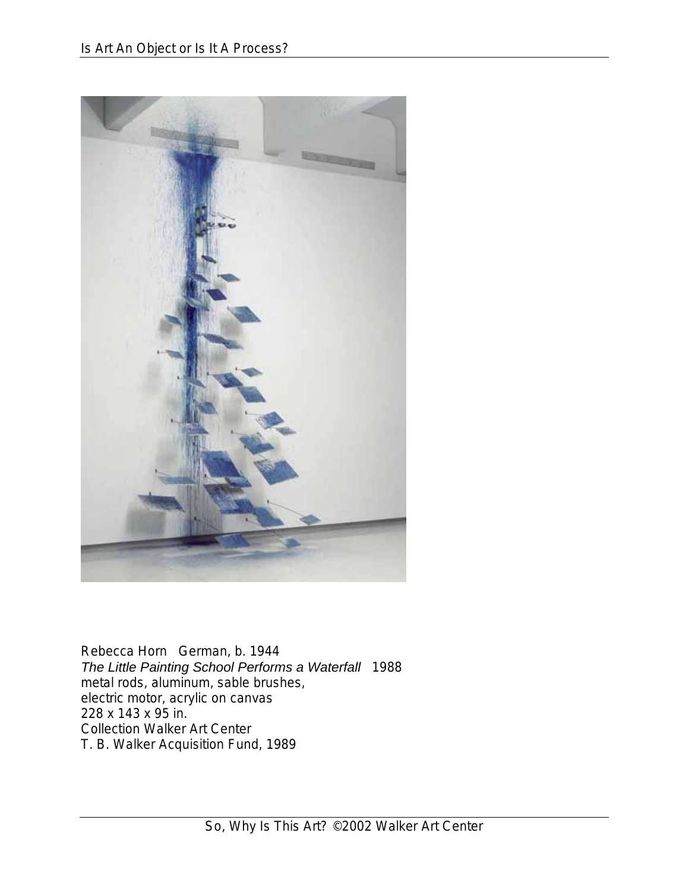

Rebecca Horn German, b. 1944 *The Little Painting School Performs a Waterfall* 1988 metal rods, aluminum, sable brushes, electric motor, acrylic on canvas 228 x 143 x 95 in. Collection Walker Art Center T. B. Walker Acquisition Fund, 1989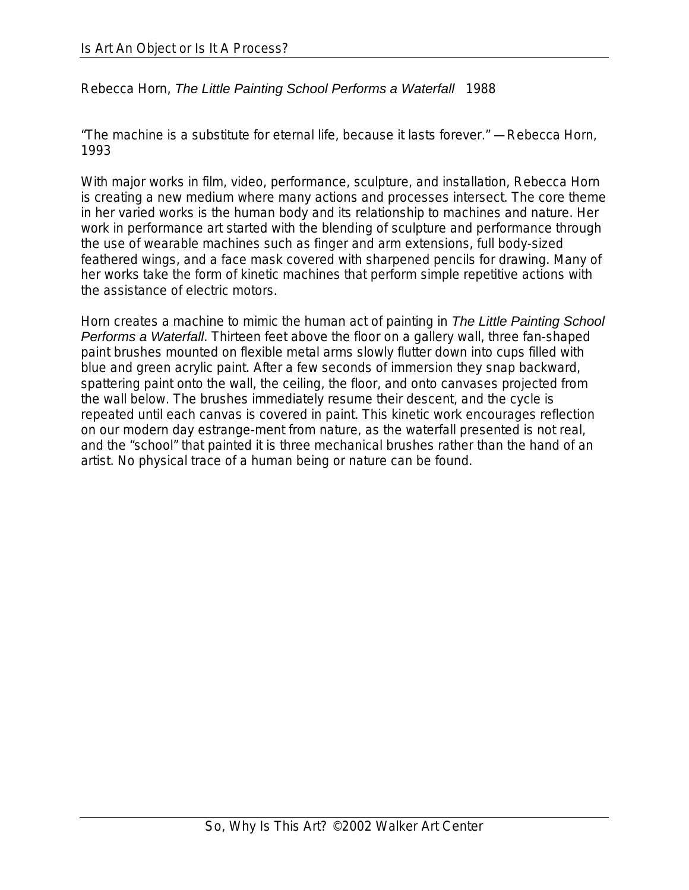Rebecca Horn, *The Little Painting School Performs a Waterfall* 1988

"The machine is a substitute for eternal life, because it lasts forever." —Rebecca Horn, 1993

With major works in film, video, performance, sculpture, and installation, Rebecca Horn is creating a new medium where many actions and processes intersect. The core theme in her varied works is the human body and its relationship to machines and nature. Her work in performance art started with the blending of sculpture and performance through the use of wearable machines such as finger and arm extensions, full body-sized feathered wings, and a face mask covered with sharpened pencils for drawing. Many of her works take the form of kinetic machines that perform simple repetitive actions with the assistance of electric motors.

Horn creates a machine to mimic the human act of painting in *The Little Painting School Performs a Waterfall*. Thirteen feet above the floor on a gallery wall, three fan-shaped paint brushes mounted on flexible metal arms slowly flutter down into cups filled with blue and green acrylic paint. After a few seconds of immersion they snap backward, spattering paint onto the wall, the ceiling, the floor, and onto canvases projected from the wall below. The brushes immediately resume their descent, and the cycle is repeated until each canvas is covered in paint. This kinetic work encourages reflection on our modern day estrange-ment from nature, as the waterfall presented is not real, and the "school" that painted it is three mechanical brushes rather than the hand of an artist. No physical trace of a human being or nature can be found.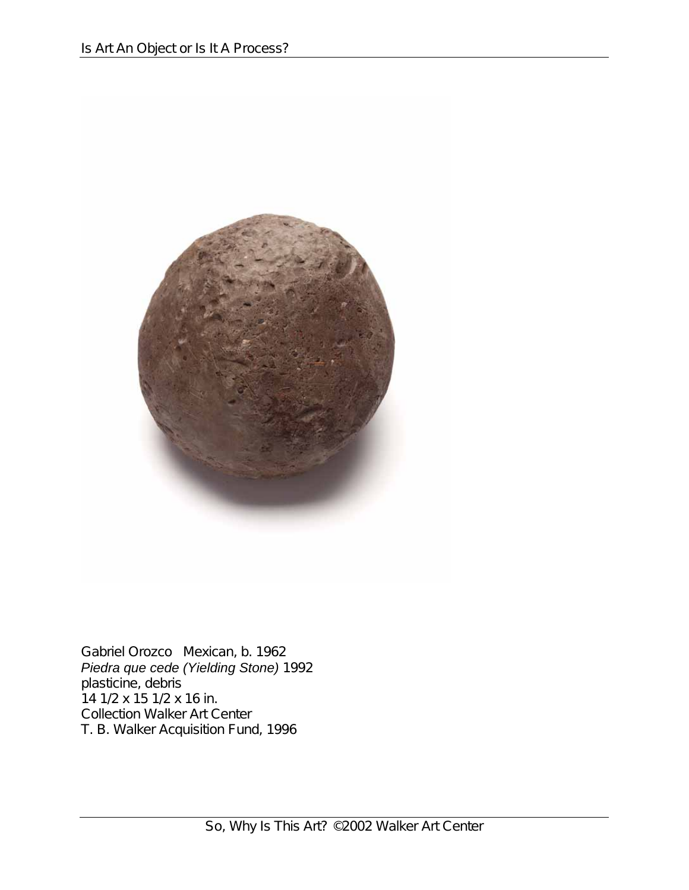

Gabriel Orozco Mexican, b. 1962 *Piedra que cede (Yielding Stone)* 1992 plasticine, debris 14 1/2 x 15 1/2 x 16 in. Collection Walker Art Center T. B. Walker Acquisition Fund, 1996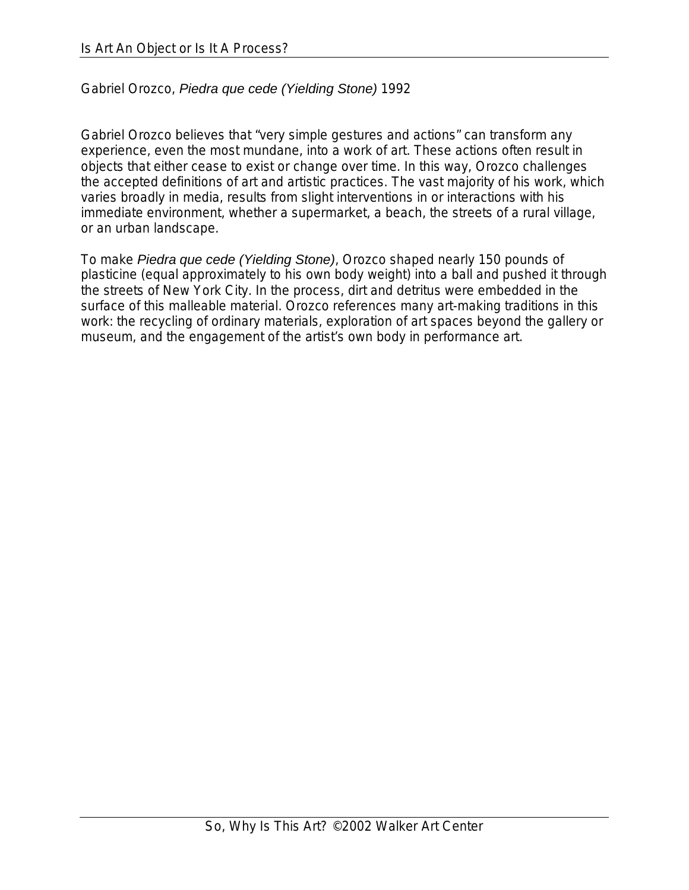## Gabriel Orozco, *Piedra que cede (Yielding Stone)* 1992

Gabriel Orozco believes that "very simple gestures and actions" can transform any experience, even the most mundane, into a work of art. These actions often result in objects that either cease to exist or change over time. In this way, Orozco challenges the accepted definitions of art and artistic practices. The vast majority of his work, which varies broadly in media, results from slight interventions in or interactions with his immediate environment, whether a supermarket, a beach, the streets of a rural village, or an urban landscape.

To make *Piedra que cede (Yielding Stone)*, Orozco shaped nearly 150 pounds of plasticine (equal approximately to his own body weight) into a ball and pushed it through the streets of New York City. In the process, dirt and detritus were embedded in the surface of this malleable material. Orozco references many art-making traditions in this work: the recycling of ordinary materials, exploration of art spaces beyond the gallery or museum, and the engagement of the artist's own body in performance art.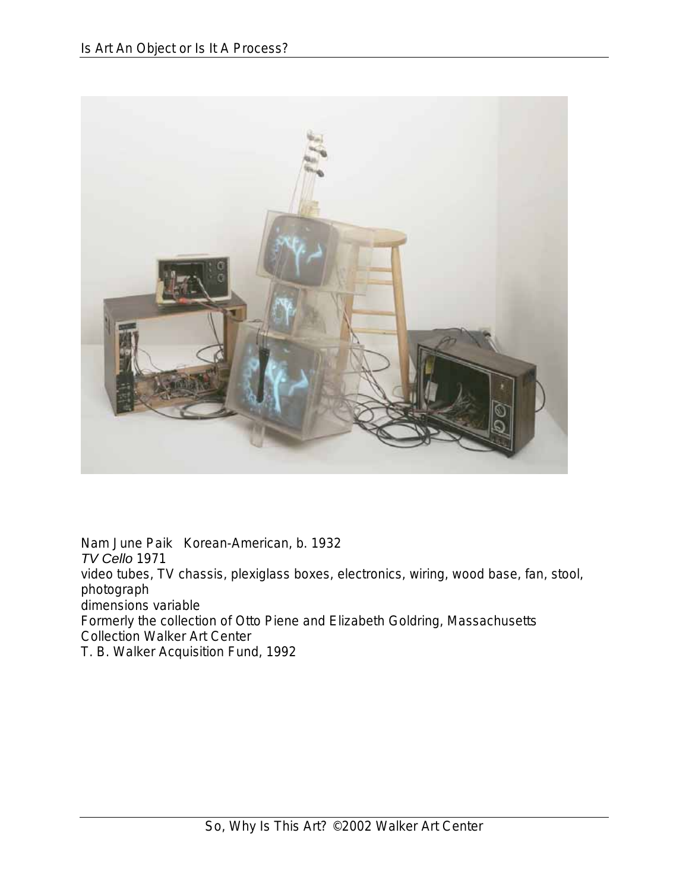

Nam June Paik Korean-American, b. 1932 *TV Cello* 1971 video tubes, TV chassis, plexiglass boxes, electronics, wiring, wood base, fan, stool, photograph dimensions variable Formerly the collection of Otto Piene and Elizabeth Goldring, Massachusetts Collection Walker Art Center T. B. Walker Acquisition Fund, 1992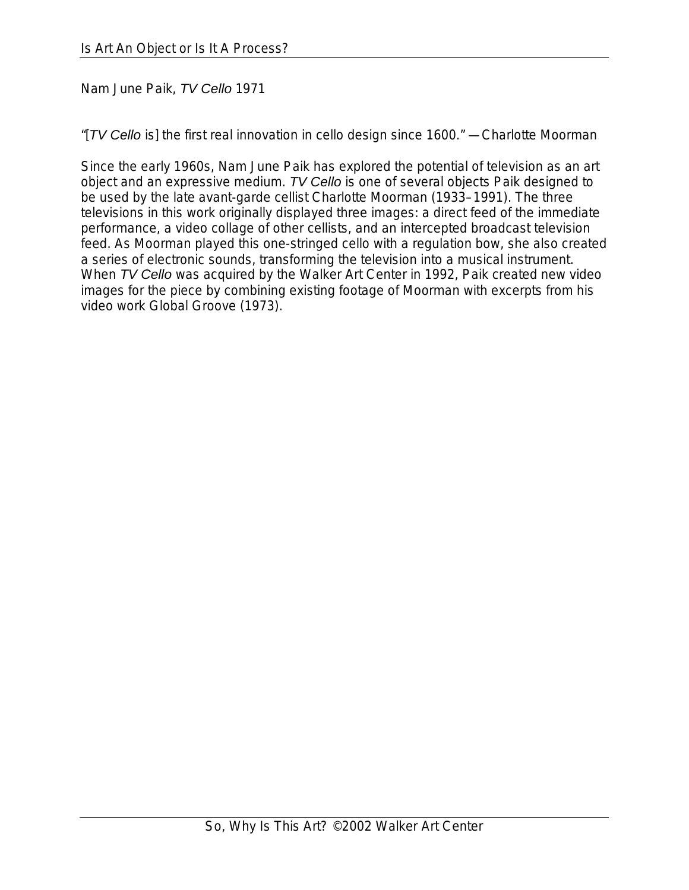## Nam June Paik, *TV Cello* 1971

"[*TV Cello* is] the first real innovation in cello design since 1600." —Charlotte Moorman

Since the early 1960s, Nam June Paik has explored the potential of television as an art object and an expressive medium. *TV Cello* is one of several objects Paik designed to be used by the late avant-garde cellist Charlotte Moorman (1933–1991). The three televisions in this work originally displayed three images: a direct feed of the immediate performance, a video collage of other cellists, and an intercepted broadcast television feed. As Moorman played this one-stringed cello with a regulation bow, she also created a series of electronic sounds, transforming the television into a musical instrument. When *TV Cello* was acquired by the Walker Art Center in 1992, Paik created new video images for the piece by combining existing footage of Moorman with excerpts from his video work Global Groove (1973).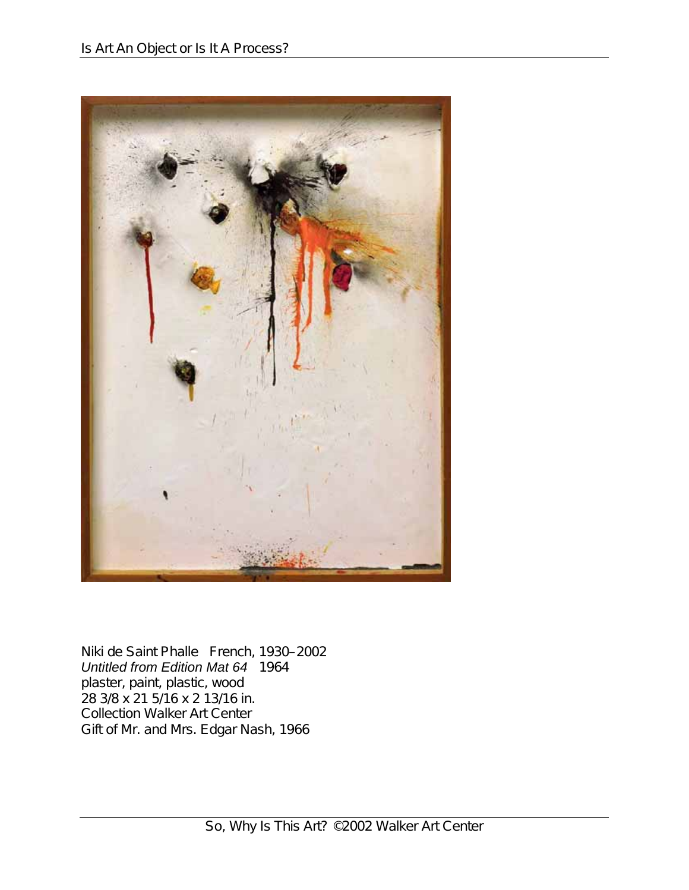

Niki de Saint Phalle French, 1930–2002 *Untitled from Edition Mat 64* 1964 plaster, paint, plastic, wood 28 3/8 x 21 5/16 x 2 13/16 in. Collection Walker Art Center Gift of Mr. and Mrs. Edgar Nash, 1966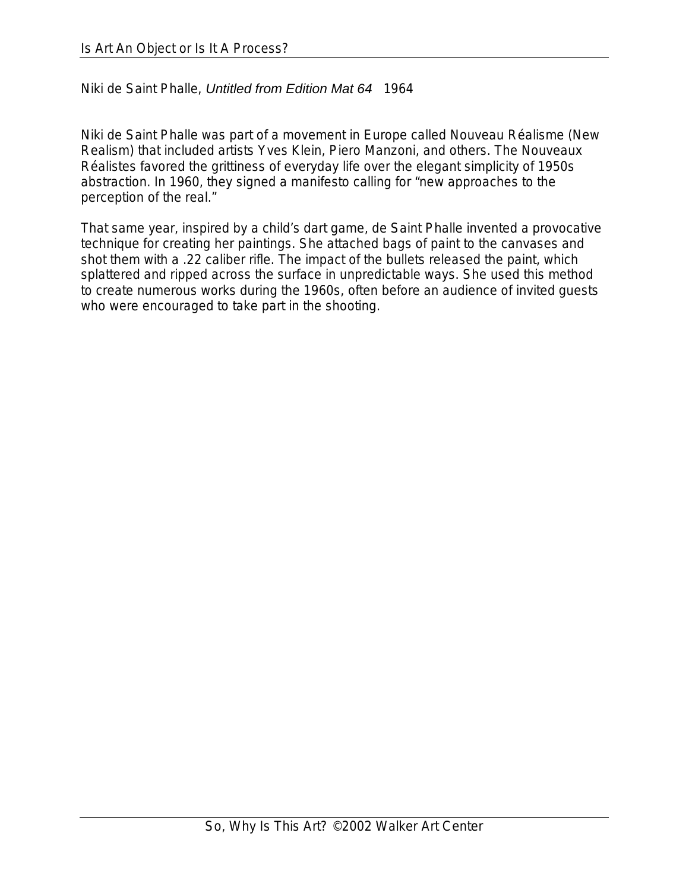Niki de Saint Phalle, *Untitled from Edition Mat 64* 1964

Niki de Saint Phalle was part of a movement in Europe called Nouveau Réalisme (New Realism) that included artists Yves Klein, Piero Manzoni, and others. The Nouveaux Réalistes favored the grittiness of everyday life over the elegant simplicity of 1950s abstraction. In 1960, they signed a manifesto calling for "new approaches to the perception of the real."

That same year, inspired by a child's dart game, de Saint Phalle invented a provocative technique for creating her paintings. She attached bags of paint to the canvases and shot them with a .22 caliber rifle. The impact of the bullets released the paint, which splattered and ripped across the surface in unpredictable ways. She used this method to create numerous works during the 1960s, often before an audience of invited guests who were encouraged to take part in the shooting.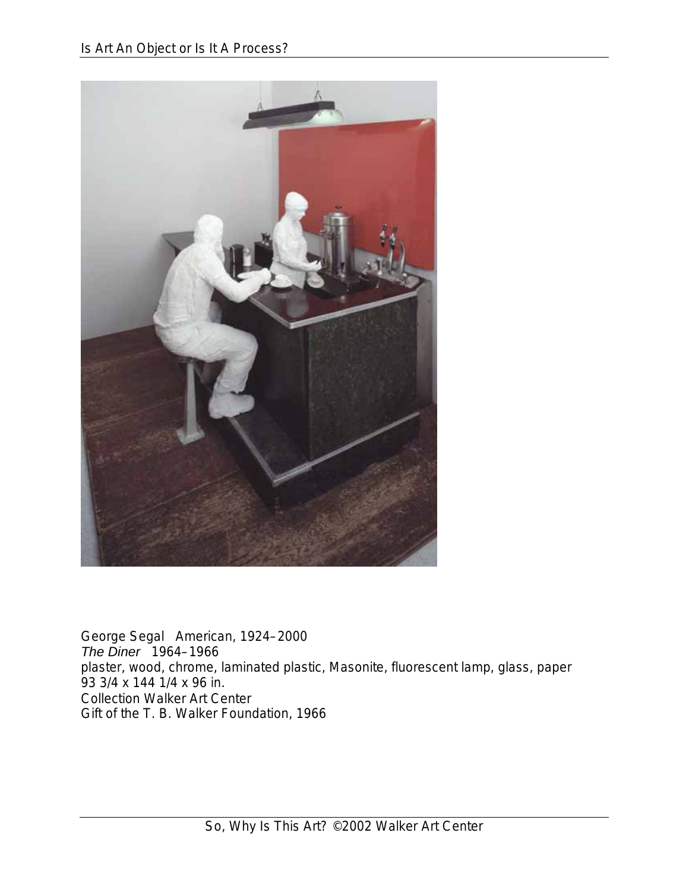

George Segal American, 1924–2000 *The Diner* 1964–1966 plaster, wood, chrome, laminated plastic, Masonite, fluorescent lamp, glass, paper 93 3/4 x 144 1/4 x 96 in. Collection Walker Art Center Gift of the T. B. Walker Foundation, 1966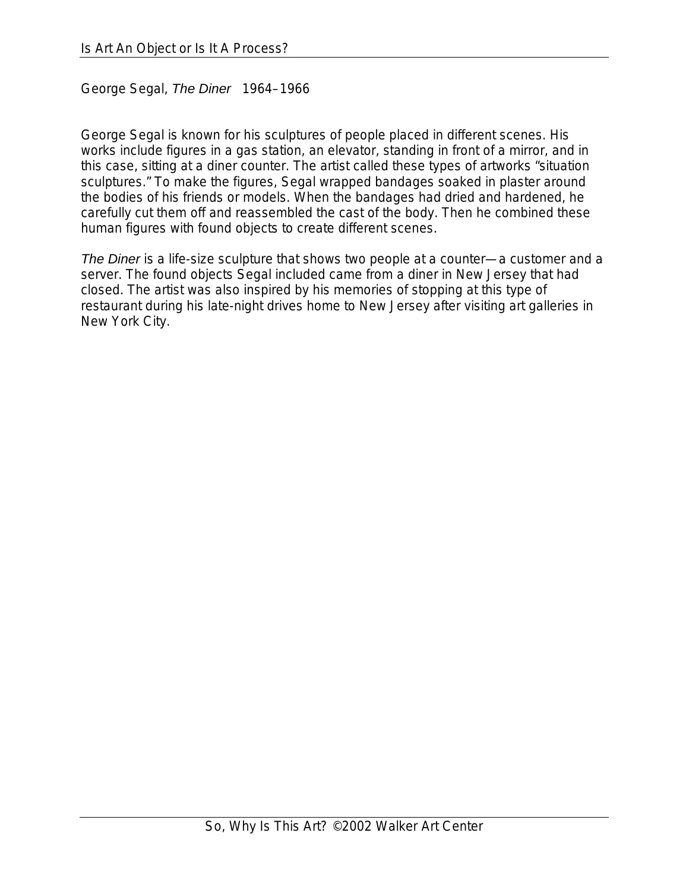George Segal, *The Diner* 1964–1966

George Segal is known for his sculptures of people placed in different scenes. His works include figures in a gas station, an elevator, standing in front of a mirror, and in this case, sitting at a diner counter. The artist called these types of artworks "situation sculptures." To make the figures, Segal wrapped bandages soaked in plaster around the bodies of his friends or models. When the bandages had dried and hardened, he carefully cut them off and reassembled the cast of the body. Then he combined these human figures with found objects to create different scenes.

*The Diner* is a life-size sculpture that shows two people at a counter—a customer and a server. The found objects Segal included came from a diner in New Jersey that had closed. The artist was also inspired by his memories of stopping at this type of restaurant during his late-night drives home to New Jersey after visiting art galleries in New York City.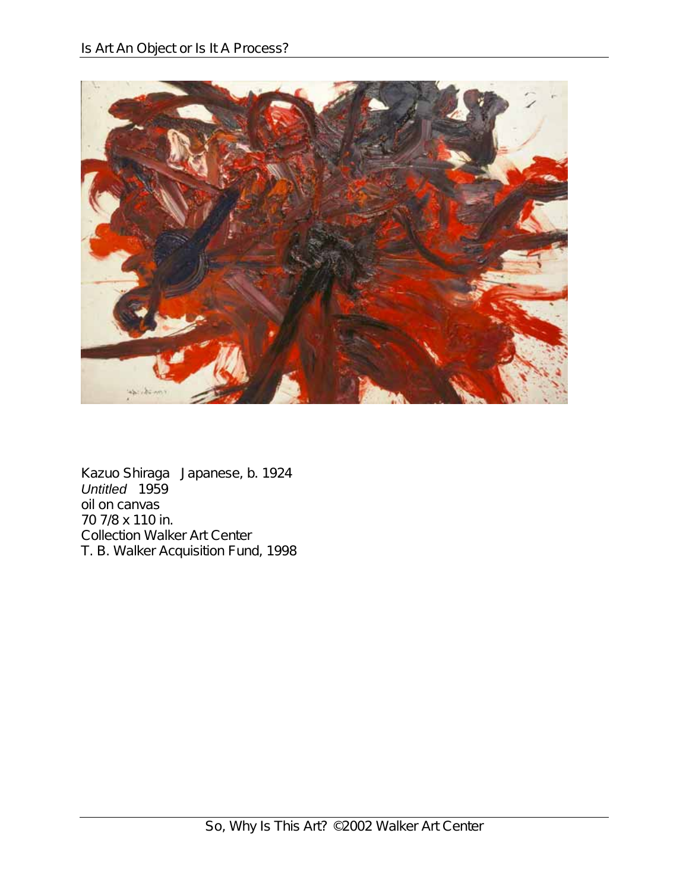

Kazuo Shiraga Japanese, b. 1924 *Untitled* 1959 oil on canvas 70 7/8 x 110 in. Collection Walker Art Center T. B. Walker Acquisition Fund, 1998